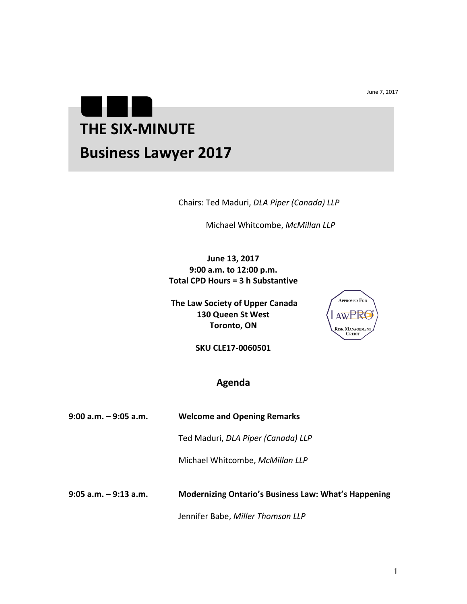June 7, 2017

## . . **THE SIX-MINUTE Business Lawyer 2017**

Chairs: Ted Maduri, *DLA Piper (Canada) LLP*

Michael Whitcombe, *McMillan LLP* 

**June 13, 2017 9:00 a.m. to 12:00 p.m. Total CPD Hours = 3 h Substantive**

**The Law Society of Upper Canada 130 Queen St West Toronto, ON**



**SKU CLE17-0060501**

## **Agenda**

| $9:00$ a.m. $-9:05$ a.m. | <b>Welcome and Opening Remarks</b>                          |
|--------------------------|-------------------------------------------------------------|
|                          | Ted Maduri, DLA Piper (Canada) LLP                          |
|                          | Michael Whitcombe, McMillan LLP                             |
| $9:05$ a.m. $-9:13$ a.m. | <b>Modernizing Ontario's Business Law: What's Happening</b> |

Jennifer Babe, *Miller Thomson LLP*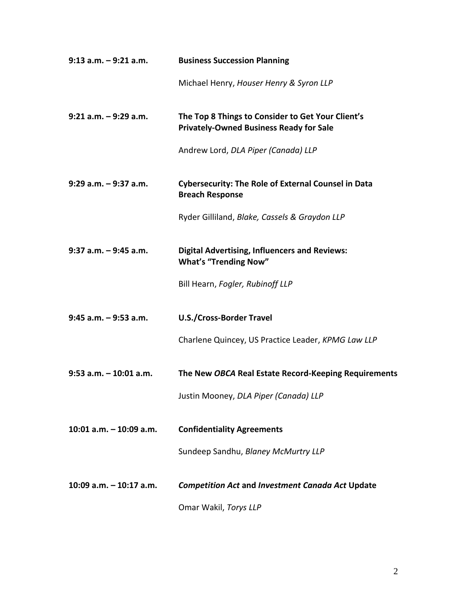| $9:13$ a.m. $-9:21$ a.m.  | <b>Business Succession Planning</b>                                                                 |
|---------------------------|-----------------------------------------------------------------------------------------------------|
|                           | Michael Henry, Houser Henry & Syron LLP                                                             |
| $9:21$ a.m. $-9:29$ a.m.  | The Top 8 Things to Consider to Get Your Client's<br><b>Privately-Owned Business Ready for Sale</b> |
|                           | Andrew Lord, DLA Piper (Canada) LLP                                                                 |
| $9:29$ a.m. $-9:37$ a.m.  | <b>Cybersecurity: The Role of External Counsel in Data</b><br><b>Breach Response</b>                |
|                           | Ryder Gilliland, Blake, Cassels & Graydon LLP                                                       |
| $9:37$ a.m. $-9:45$ a.m.  | <b>Digital Advertising, Influencers and Reviews:</b><br><b>What's "Trending Now"</b>                |
|                           | Bill Hearn, Fogler, Rubinoff LLP                                                                    |
| $9:45$ a.m. $-9:53$ a.m.  | <b>U.S./Cross-Border Travel</b>                                                                     |
|                           | Charlene Quincey, US Practice Leader, KPMG Law LLP                                                  |
| $9:53$ a.m. $-10:01$ a.m. | The New OBCA Real Estate Record-Keeping Requirements                                                |
|                           | Justin Mooney, DLA Piper (Canada) LLP                                                               |
| 10:01 a.m. $-$ 10:09 a.m. | <b>Confidentiality Agreements</b>                                                                   |
|                           | Sundeep Sandhu, Blaney McMurtry LLP                                                                 |
| 10:09 $a.m. - 10:17 a.m.$ | <b>Competition Act and Investment Canada Act Update</b>                                             |
|                           | Omar Wakil, Torys LLP                                                                               |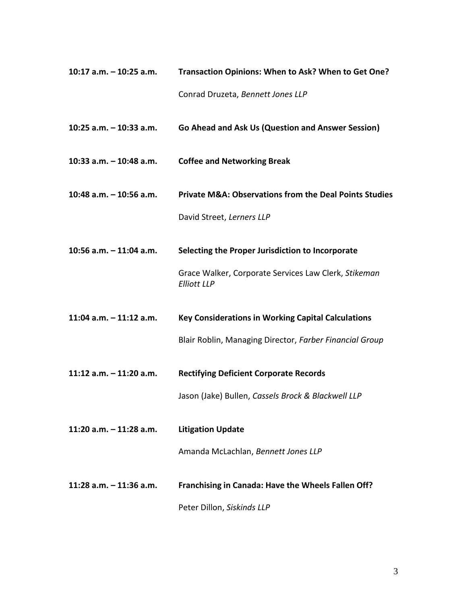| 10:17 a.m. – 10:25 a.m. | Transaction Opinions: When to Ask? When to Get One? |
|-------------------------|-----------------------------------------------------|
|                         | Conrad Druzeta, Bennett Jones LLP                   |

**10:25 a.m. – 10:33 a.m. Go Ahead and Ask Us (Question and Answer Session)**

- **10:33 a.m. – 10:48 a.m. Coffee and Networking Break**
- **10:48 a.m. – 10:56 a.m. Private M&A: Observations from the Deal Points Studies**

David Street, *Lerners LLP*

**10:56 a.m. – 11:04 a.m. Selecting the Proper Jurisdiction to Incorporate** 

Grace Walker, Corporate Services Law Clerk, *Stikeman Elliott LLP* 

**11:04 a.m. – 11:12 a.m. Key Considerations in Working Capital Calculations** 

Blair Roblin, Managing Director, *Farber Financial Group*

**11:12 a.m. – 11:20 a.m. Rectifying Deficient Corporate Records** 

Jason (Jake) Bullen, *Cassels Brock & Blackwell LLP* 

**11:20 a.m. – 11:28 a.m. Litigation Update** 

Amanda McLachlan, *Bennett Jones LLP*

**11:28 a.m. – 11:36 a.m. Franchising in Canada: Have the Wheels Fallen Off?** 

Peter Dillon, *Siskinds LLP*